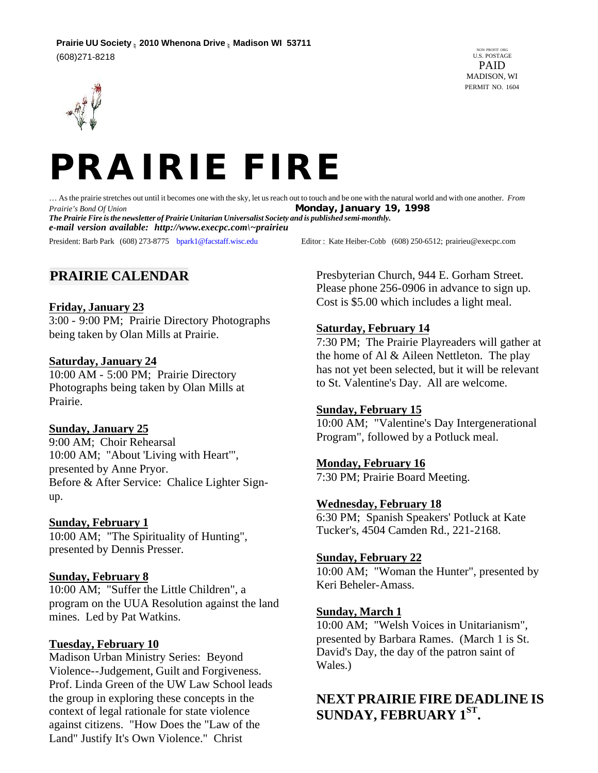



… As the prairie stretches out until it becomes one with the sky, let us reach out to touch and be one with the natural world and with one another. *From Prairie's Bond Of Union Monday, January 19, 1998 The Prairie Fire is the newsletter of Prairie Unitarian Universalist Society and is published semi-monthly. e-mail version available: http://www.execpc.com\~prairieu* President: Barb Park (608) 273-8775 bpark1@facstaff.wisc.edu Editor : Kate Heiber-Cobb (608) 250-6512; prairieu@execpc.com

# **PRAIRIE CALENDAR**

### **Friday, January 23**

3:00 - 9:00 PM; Prairie Directory Photographs being taken by Olan Mills at Prairie.

### **Saturday, January 24**

10:00 AM - 5:00 PM; Prairie Directory Photographs being taken by Olan Mills at Prairie.

## **Sunday, January 25**

9:00 AM; Choir Rehearsal 10:00 AM; "About 'Living with Heart'", presented by Anne Pryor. Before & After Service: Chalice Lighter Signup.

## **Sunday, February 1**

10:00 AM; "The Spirituality of Hunting", presented by Dennis Presser.

#### **Sunday, February 8**

10:00 AM; "Suffer the Little Children", a program on the UUA Resolution against the land mines. Led by Pat Watkins.

#### **Tuesday, February 10**

Madison Urban Ministry Series: Beyond Violence--Judgement, Guilt and Forgiveness. Prof. Linda Green of the UW Law School leads the group in exploring these concepts in the context of legal rationale for state violence against citizens. "How Does the "Law of the Land" Justify It's Own Violence." Christ

Presbyterian Church, 944 E. Gorham Street. Please phone 256-0906 in advance to sign up. Cost is \$5.00 which includes a light meal.

## **Saturday, February 14**

7:30 PM; The Prairie Playreaders will gather at the home of Al & Aileen Nettleton. The play has not yet been selected, but it will be relevant to St. Valentine's Day. All are welcome.

#### **Sunday, February 15**

10:00 AM; "Valentine's Day Intergenerational Program", followed by a Potluck meal.

# **Monday, February 16**

7:30 PM; Prairie Board Meeting.

#### **Wednesday, February 18**

6:30 PM; Spanish Speakers' Potluck at Kate Tucker's, 4504 Camden Rd., 221-2168.

#### **Sunday, February 22**

10:00 AM; "Woman the Hunter", presented by Keri Beheler-Amass.

#### **Sunday, March 1**

10:00 AM; "Welsh Voices in Unitarianism", presented by Barbara Rames. (March 1 is St. David's Day, the day of the patron saint of Wales.)

# **NEXT PRAIRIE FIRE DEADLINE IS SUNDAY, FEBRUARY 1ST .**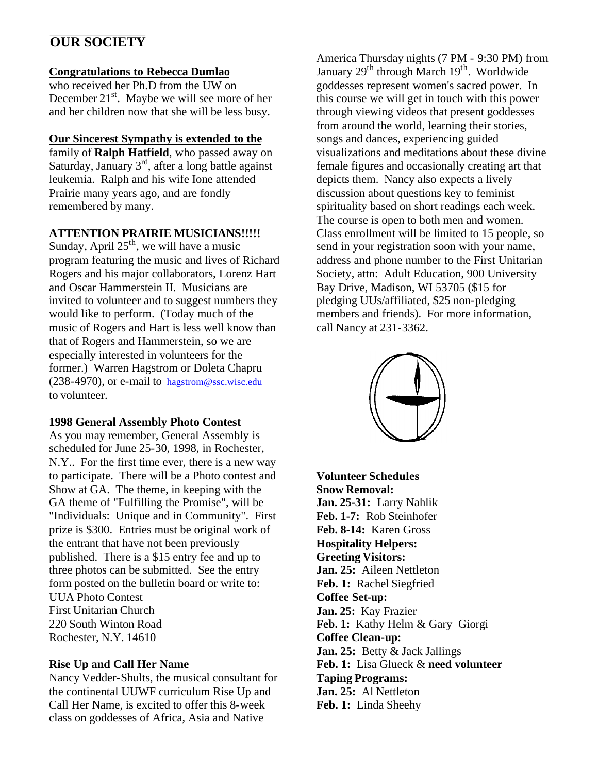# **OUR SOCIETY**

## **Congratulations to Rebecca Dumlao**

who received her Ph.D from the UW on December 21<sup>st</sup>. Maybe we will see more of her and her children now that she will be less busy.

# **Our Sincerest Sympathy is extended to the**

family of **Ralph Hatfield**, who passed away on Saturday, January  $3<sup>rd</sup>$ , after a long battle against leukemia. Ralph and his wife Ione attended Prairie many years ago, and are fondly remembered by many.

# **ATTENTION PRAIRIE MUSICIANS!!!!!**

Sunday, April  $25<sup>th</sup>$ , we will have a music program featuring the music and lives of Richard Rogers and his major collaborators, Lorenz Hart and Oscar Hammerstein II. Musicians are invited to volunteer and to suggest numbers they would like to perform. (Today much of the music of Rogers and Hart is less well know than that of Rogers and Hammerstein, so we are especially interested in volunteers for the former.) Warren Hagstrom or Doleta Chapru (238-4970), or e-mail to hagstrom@ssc.wisc.edu to volunteer.

# **1998 General Assembly Photo Contest**

As you may remember, General Assembly is scheduled for June 25-30, 1998, in Rochester, N.Y.. For the first time ever, there is a new way to participate. There will be a Photo contest and Show at GA. The theme, in keeping with the GA theme of "Fulfilling the Promise", will be "Individuals: Unique and in Community". First prize is \$300. Entries must be original work of the entrant that have not been previously published. There is a \$15 entry fee and up to three photos can be submitted. See the entry form posted on the bulletin board or write to: UUA Photo Contest First Unitarian Church 220 South Winton Road Rochester, N.Y. 14610

# **Rise Up and Call Her Name**

Nancy Vedder-Shults, the musical consultant for the continental UUWF curriculum Rise Up and Call Her Name, is excited to offer this 8-week class on goddesses of Africa, Asia and Native

America Thursday nights (7 PM - 9:30 PM) from January 29<sup>th</sup> through March 19<sup>th</sup>. Worldwide goddesses represent women's sacred power. In this course we will get in touch with this power through viewing videos that present goddesses from around the world, learning their stories, songs and dances, experiencing guided visualizations and meditations about these divine female figures and occasionally creating art that depicts them. Nancy also expects a lively discussion about questions key to feminist spirituality based on short readings each week. The course is open to both men and women. Class enrollment will be limited to 15 people, so send in your registration soon with your name, address and phone number to the First Unitarian Society, attn: Adult Education, 900 University Bay Drive, Madison, WI 53705 (\$15 for pledging UUs/affiliated, \$25 non-pledging members and friends). For more information, call Nancy at 231-3362.



**Volunteer Schedules Snow Removal: Jan. 25-31:** Larry Nahlik **Feb. 1-7:** Rob Steinhofer **Feb. 8-14:** Karen Gross **Hospitality Helpers: Greeting Visitors: Jan. 25:** Aileen Nettleton **Feb. 1:** Rachel Siegfried **Coffee Set-up: Jan. 25:** Kay Frazier **Feb. 1:** Kathy Helm & Gary Giorgi **Coffee Clean-up: Jan. 25:** Betty & Jack Jallings **Feb. 1:** Lisa Glueck & **need volunteer Taping Programs: Jan. 25:** Al Nettleton **Feb. 1:** Linda Sheehy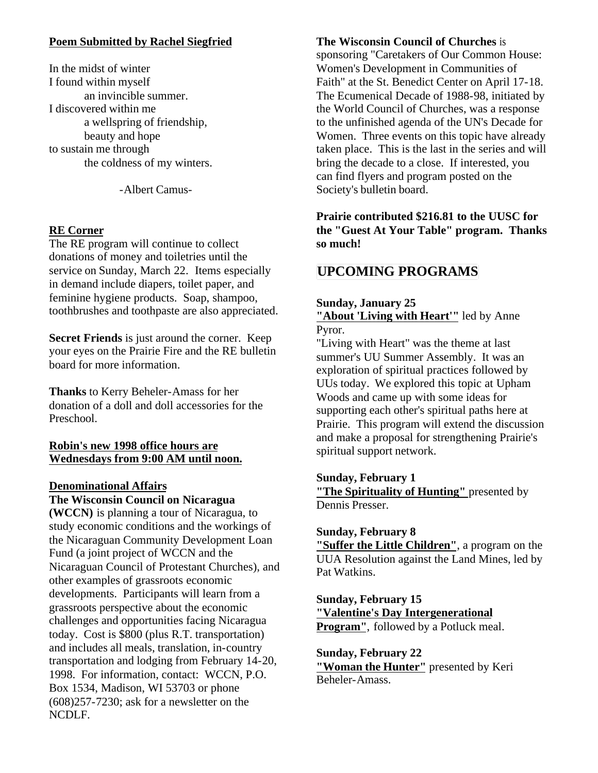# **Poem Submitted by Rachel Siegfried**

In the midst of winter I found within myself an invincible summer. I discovered within me a wellspring of friendship, beauty and hope to sustain me through the coldness of my winters.

-Albert Camus-

## **RE Corner**

The RE program will continue to collect donations of money and toiletries until the service on Sunday, March 22. Items especially in demand include diapers, toilet paper, and feminine hygiene products. Soap, shampoo, toothbrushes and toothpaste are also appreciated.

**Secret Friends** is just around the corner. Keep your eyes on the Prairie Fire and the RE bulletin board for more information.

**Thanks** to Kerry Beheler-Amass for her donation of a doll and doll accessories for the Preschool.

## **Robin's new 1998 office hours are Wednesdays from 9:00 AM until noon.**

## **Denominational Affairs**

## **The Wisconsin Council on Nicaragua**

**(WCCN)** is planning a tour of Nicaragua, to study economic conditions and the workings of the Nicaraguan Community Development Loan Fund (a joint project of WCCN and the Nicaraguan Council of Protestant Churches), and other examples of grassroots economic developments. Participants will learn from a grassroots perspective about the economic challenges and opportunities facing Nicaragua today. Cost is \$800 (plus R.T. transportation) and includes all meals, translation, in-country transportation and lodging from February 14-20, 1998. For information, contact: WCCN, P.O. Box 1534, Madison, WI 53703 or phone (608)257-7230; ask for a newsletter on the NCDLF.

## **The Wisconsin Council of Churches** is

sponsoring "Caretakers of Our Common House: Women's Development in Communities of Faith" at the St. Benedict Center on April 17-18. The Ecumenical Decade of 1988-98, initiated by the World Council of Churches, was a response to the unfinished agenda of the UN's Decade for Women. Three events on this topic have already taken place. This is the last in the series and will bring the decade to a close. If interested, you can find flyers and program posted on the Society's bulletin board.

# **Prairie contributed \$216.81 to the UUSC for the "Guest At Your Table" program. Thanks so much!**

# **UPCOMING PROGRAMS**

# **Sunday, January 25**

**"About 'Living with Heart'"** led by Anne Pyror.

"Living with Heart" was the theme at last summer's UU Summer Assembly. It was an exploration of spiritual practices followed by UUs today. We explored this topic at Upham Woods and came up with some ideas for supporting each other's spiritual paths here at Prairie. This program will extend the discussion and make a proposal for strengthening Prairie's spiritual support network.

## **Sunday, February 1**

**"The Spirituality of Hunting"** presented by Dennis Presser.

## **Sunday, February 8**

**"Suffer the Little Children"**, a program on the UUA Resolution against the Land Mines, led by Pat Watkins.

**Sunday, February 15 "Valentine's Day Intergenerational Program''**, followed by a Potluck meal.

**Sunday, February 22 "Woman the Hunter"** presented by Keri Beheler-Amass.